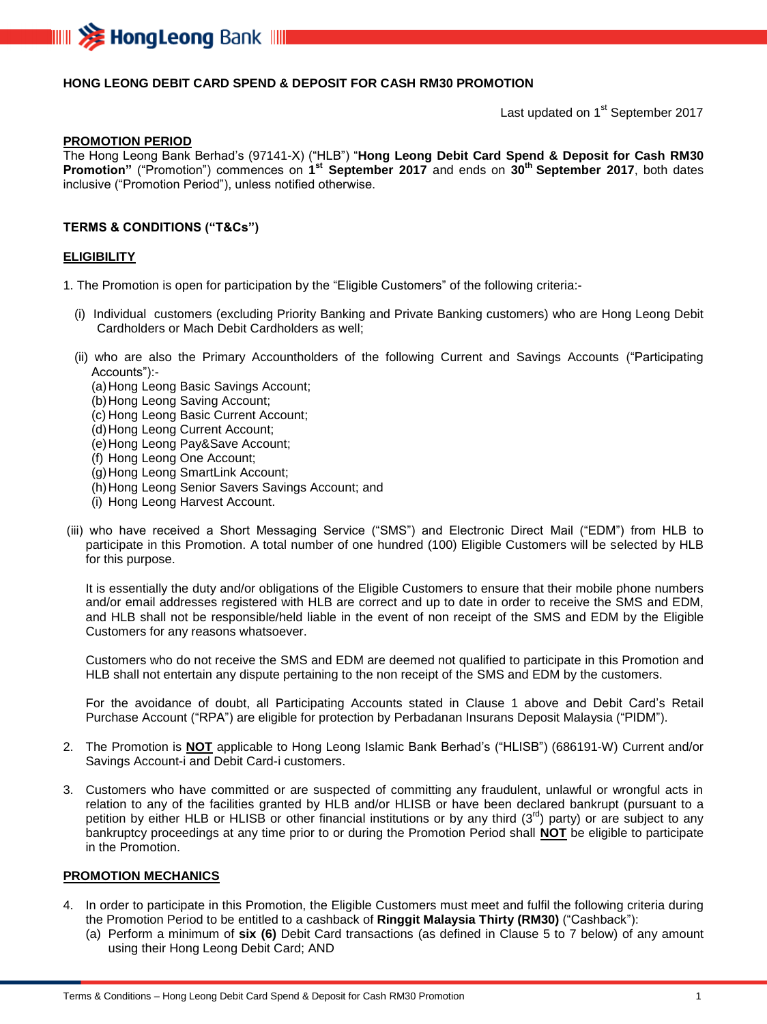

## **HONG LEONG DEBIT CARD SPEND & DEPOSIT FOR CASH RM30 PROMOTION**

Last updated on 1<sup>st</sup> September 2017

#### **PROMOTION PERIOD**

The Hong Leong Bank Berhad's (97141-X) ("HLB") "**Hong Leong Debit Card Spend & Deposit for Cash RM30 Promotion"** ("Promotion") commences on **1 st September 2017** and ends on **30 th September 2017**, both dates inclusive ("Promotion Period"), unless notified otherwise.

### **TERMS & CONDITIONS ("T&Cs")**

#### **ELIGIBILITY**

1. The Promotion is open for participation by the "Eligible Customers" of the following criteria:-

- (i) Individual customers (excluding Priority Banking and Private Banking customers) who are Hong Leong Debit Cardholders or Mach Debit Cardholders as well;
- (ii) who are also the Primary Accountholders of the following Current and Savings Accounts ("Participating Accounts"):-
	- (a)Hong Leong Basic Savings Account;
	- (b)Hong Leong Saving Account;
	- (c) Hong Leong Basic Current Account;
	- (d) Hong Leong Current Account;
	- (e)Hong Leong Pay&Save Account;
	- (f) Hong Leong One Account;
	- (g)Hong Leong SmartLink Account;
	- (h) Hong Leong Senior Savers Savings Account; and
	- (i) Hong Leong Harvest Account.
- (iii) who have received a Short Messaging Service ("SMS") and Electronic Direct Mail ("EDM") from HLB to participate in this Promotion. A total number of one hundred (100) Eligible Customers will be selected by HLB for this purpose.

It is essentially the duty and/or obligations of the Eligible Customers to ensure that their mobile phone numbers and/or email addresses registered with HLB are correct and up to date in order to receive the SMS and EDM, and HLB shall not be responsible/held liable in the event of non receipt of the SMS and EDM by the Eligible Customers for any reasons whatsoever.

Customers who do not receive the SMS and EDM are deemed not qualified to participate in this Promotion and HLB shall not entertain any dispute pertaining to the non receipt of the SMS and EDM by the customers.

For the avoidance of doubt, all Participating Accounts stated in Clause 1 above and Debit Card's Retail Purchase Account ("RPA") are eligible for protection by Perbadanan Insurans Deposit Malaysia ("PIDM").

- 2. The Promotion is **NOT** applicable to Hong Leong Islamic Bank Berhad's ("HLISB") (686191-W) Current and/or Savings Account-i and Debit Card-i customers.
- 3. Customers who have committed or are suspected of committing any fraudulent, unlawful or wrongful acts in relation to any of the facilities granted by HLB and/or HLISB or have been declared bankrupt (pursuant to a petition by either HLB or HLISB or other financial institutions or by any third  $(3^{rd})$  party) or are subject to any bankruptcy proceedings at any time prior to or during the Promotion Period shall **NOT** be eligible to participate in the Promotion.

## **PROMOTION MECHANICS**

- 4. In order to participate in this Promotion, the Eligible Customers must meet and fulfil the following criteria during the Promotion Period to be entitled to a cashback of **Ringgit Malaysia Thirty (RM30)** ("Cashback"):
	- (a) Perform a minimum of **six (6)** Debit Card transactions (as defined in Clause 5 to 7 below) of any amount using their Hong Leong Debit Card; AND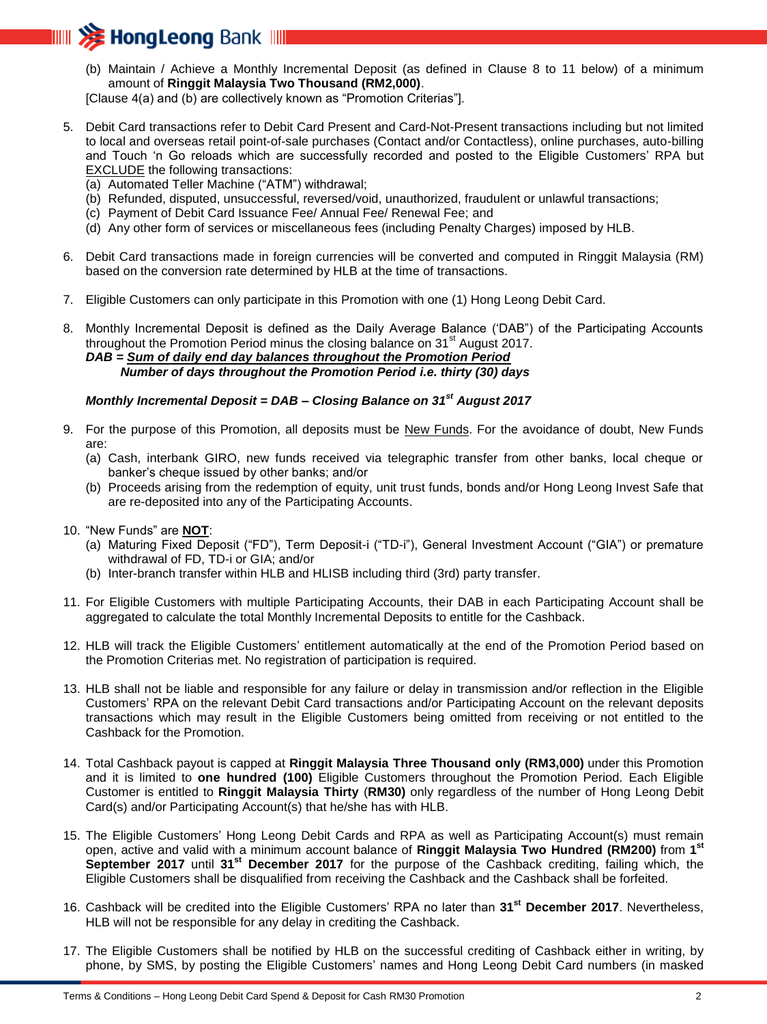

(b) Maintain / Achieve a Monthly Incremental Deposit (as defined in Clause 8 to 11 below) of a minimum amount of **Ringgit Malaysia Two Thousand (RM2,000)**.

[Clause 4(a) and (b) are collectively known as "Promotion Criterias"].

- 5. Debit Card transactions refer to Debit Card Present and Card-Not-Present transactions including but not limited to local and overseas retail point-of-sale purchases (Contact and/or Contactless), online purchases, auto-billing and Touch 'n Go reloads which are successfully recorded and posted to the Eligible Customers' RPA but EXCLUDE the following transactions:
	- (a) Automated Teller Machine ("ATM") withdrawal;
	- (b) Refunded, disputed, unsuccessful, reversed/void, unauthorized, fraudulent or unlawful transactions;
	- (c) Payment of Debit Card Issuance Fee/ Annual Fee/ Renewal Fee; and
	- (d) Any other form of services or miscellaneous fees (including Penalty Charges) imposed by HLB.
- 6. Debit Card transactions made in foreign currencies will be converted and computed in Ringgit Malaysia (RM) based on the conversion rate determined by HLB at the time of transactions.
- 7. Eligible Customers can only participate in this Promotion with one (1) Hong Leong Debit Card.

8. Monthly Incremental Deposit is defined as the Daily Average Balance ('DAB") of the Participating Accounts throughout the Promotion Period minus the closing balance on  $31<sup>st</sup>$  August 2017. *DAB = Sum of daily end day balances throughout the Promotion Period Number of days throughout the Promotion Period i.e. thirty (30) days*

# *Monthly Incremental Deposit = DAB – Closing Balance on 31st August 2017*

- 9. For the purpose of this Promotion, all deposits must be New Funds. For the avoidance of doubt, New Funds are:
	- (a) Cash, interbank GIRO, new funds received via telegraphic transfer from other banks, local cheque or banker's cheque issued by other banks; and/or
	- (b) Proceeds arising from the redemption of equity, unit trust funds, bonds and/or Hong Leong Invest Safe that are re-deposited into any of the Participating Accounts.
- 10. "New Funds" are **NOT**:
	- (a) Maturing Fixed Deposit ("FD"), Term Deposit-i ("TD-i"), General Investment Account ("GIA") or premature withdrawal of FD, TD-i or GIA; and/or
	- (b) Inter-branch transfer within HLB and HLISB including third (3rd) party transfer.
- 11. For Eligible Customers with multiple Participating Accounts, their DAB in each Participating Account shall be aggregated to calculate the total Monthly Incremental Deposits to entitle for the Cashback.
- 12. HLB will track the Eligible Customers' entitlement automatically at the end of the Promotion Period based on the Promotion Criterias met. No registration of participation is required.
- 13. HLB shall not be liable and responsible for any failure or delay in transmission and/or reflection in the Eligible Customers' RPA on the relevant Debit Card transactions and/or Participating Account on the relevant deposits transactions which may result in the Eligible Customers being omitted from receiving or not entitled to the Cashback for the Promotion.
- 14. Total Cashback payout is capped at **Ringgit Malaysia Three Thousand only (RM3,000)** under this Promotion and it is limited to **one hundred (100)** Eligible Customers throughout the Promotion Period. Each Eligible Customer is entitled to **Ringgit Malaysia Thirty** (**RM30)** only regardless of the number of Hong Leong Debit Card(s) and/or Participating Account(s) that he/she has with HLB.
- 15. The Eligible Customers' Hong Leong Debit Cards and RPA as well as Participating Account(s) must remain open, active and valid with a minimum account balance of **Ringgit Malaysia Two Hundred (RM200)** from **1 st September 2017** until **31st December 2017** for the purpose of the Cashback crediting, failing which, the Eligible Customers shall be disqualified from receiving the Cashback and the Cashback shall be forfeited.
- 16. Cashback will be credited into the Eligible Customers' RPA no later than **31st December 2017**. Nevertheless, HLB will not be responsible for any delay in crediting the Cashback.
- 17. The Eligible Customers shall be notified by HLB on the successful crediting of Cashback either in writing, by phone, by SMS, by posting the Eligible Customers' names and Hong Leong Debit Card numbers (in masked